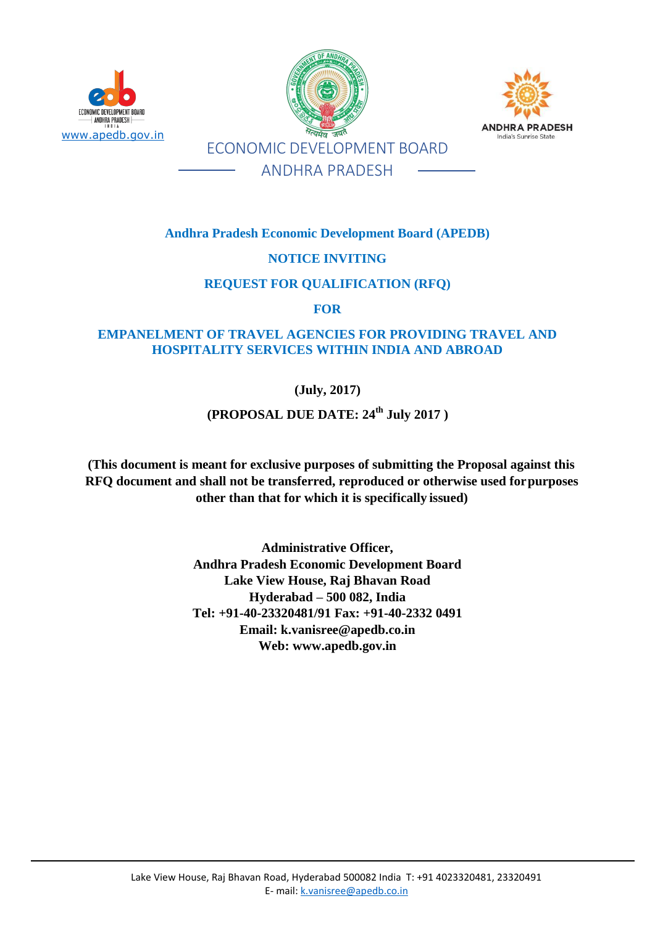

www.apedb.gov.in



**Andhra Pradesh Economic Development Board (APEDB)** 

# **NOTICE INVITING**

### **REQUEST FOR QUALIFICATION (RFQ)**

**FOR**

# **EMPANELMENT OF TRAVEL AGENCIES FOR PROVIDING TRAVEL AND HOSPITALITY SERVICES WITHIN INDIA AND ABROAD**

**(July, 2017)**

# **(PROPOSAL DUE DATE: 24th July 2017 )**

**(This document is meant for exclusive purposes of submitting the Proposal against this RFQ document and shall not be transferred, reproduced or otherwise used forpurposes other than that for which it is specifically issued)**

> **Administrative Officer, Andhra Pradesh Economic Development Board Lake View House, Raj Bhavan Road Hyderabad – 500 082, India Tel: +91-40-23320481/91 Fax: +91-40-2332 0491 Email: [k.vanisree@apedb.co.in](mailto:k.vanisree@apedb.co.in) Web: [www.apedb.gov.in](http://www.apedb.gov.in/)**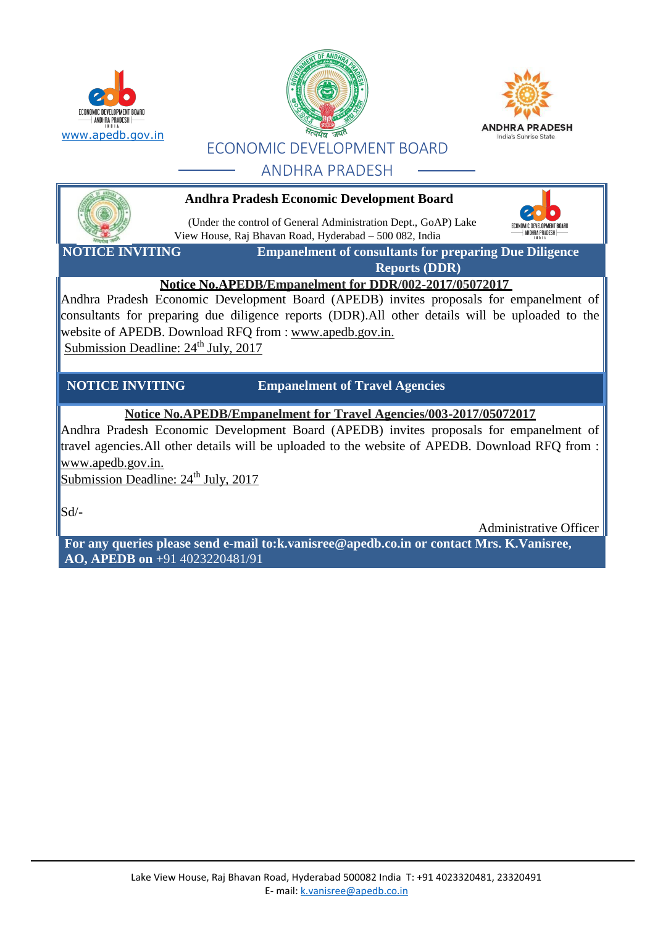





ECONOMIC DEVELOPMENT BOARD ANDHRA PRADESH

# ANDHRA PRADESH



**Andhra Pradesh Economic Development Board**

(Under the control of General Administration Dept., GoAP) Lake View House, Raj Bhavan Road, Hyderabad – 500 082, India

**NOTICE INVITING Empanelment of consultants for preparing Due Diligence Reports (DDR)**

# **Notice No.APEDB/Empanelment for DDR/002-2017/05072017**

Andhra Pradesh Economic Development Board (APEDB) invites proposals for empanelment of consultants for preparing due diligence reports (DDR).All other details will be uploaded to the website of APEDB. Download RFQ from : [www.apedb.gov.in.](http://www.apedb.gov.in/) Submission Deadline:  $24<sup>th</sup>$  July, 2017

**NOTICE INVITING Empanelment of Travel Agencies** 

# **Notice No.APEDB/Empanelment for Travel Agencies/003-2017/05072017**

Andhra Pradesh Economic Development Board (APEDB) invites proposals for empanelment of travel agencies.All other details will be uploaded to the website of APEDB. Download RFQ from : [www.apedb.gov.in.](http://www.apedb.gov.in/)

Submission Deadline: 24<sup>th</sup> July, 2017

Sd/-

Administrative Officer

**[For](http://for/) any queries please send [e-mail to:k.vanisree@apedb.co.in or](mailto:k.vanisree@apedb.co.inor) contact Mrs. K.Vanisree, AO, APEDB on** +91 4023220481/91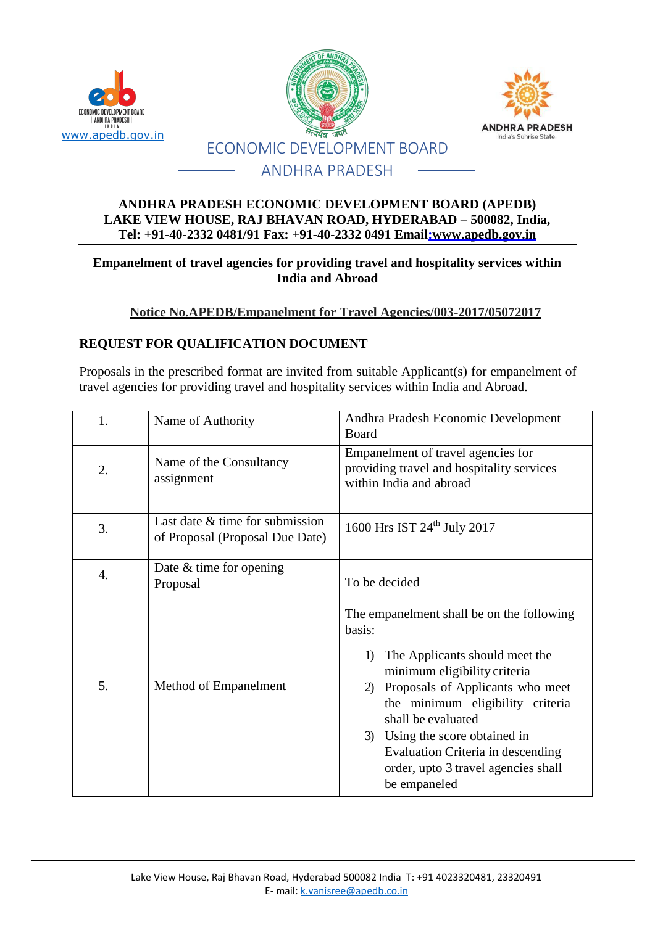





#### **ANDHRA PRADESH ECONOMIC DEVELOPMENT BOARD (APEDB) LAKE VIEW HOUSE, RAJ BHAVAN ROAD, HYDERABAD – 500082, India, Tel: +91-40-2332 0481/91 Fax: +91-40-2332 0491 Email[:www.apedb.gov.in](http://www.apedb.gov.in/)**

### **Empanelment of travel agencies for providing travel and hospitality services within India and Abroad**

# **Notice No.APEDB/Empanelment for Travel Agencies/003-2017/05072017**

### **REQUEST FOR QUALIFICATION DOCUMENT**

Proposals in the prescribed format are invited from suitable Applicant(s) for empanelment of travel agencies for providing travel and hospitality services within India and Abroad.

| 1.               | Name of Authority                                                  | Andhra Pradesh Economic Development<br>Board                                                                                                                                                                                                                                                                                                                         |  |
|------------------|--------------------------------------------------------------------|----------------------------------------------------------------------------------------------------------------------------------------------------------------------------------------------------------------------------------------------------------------------------------------------------------------------------------------------------------------------|--|
| 2.               | Name of the Consultancy<br>assignment                              | Empanelment of travel agencies for<br>providing travel and hospitality services<br>within India and abroad                                                                                                                                                                                                                                                           |  |
| 3.               | Last date & time for submission<br>of Proposal (Proposal Due Date) | 1600 Hrs IST 24 <sup>th</sup> July 2017                                                                                                                                                                                                                                                                                                                              |  |
| $\overline{4}$ . | Date $&$ time for opening<br>Proposal                              | To be decided                                                                                                                                                                                                                                                                                                                                                        |  |
| 5.               | Method of Empanelment                                              | The empanelment shall be on the following<br>basis:<br>1) The Applicants should meet the<br>minimum eligibility criteria<br>Proposals of Applicants who meet<br>2)<br>the minimum eligibility criteria<br>shall be evaluated<br>Using the score obtained in<br>3)<br><b>Evaluation Criteria in descending</b><br>order, upto 3 travel agencies shall<br>be empaneled |  |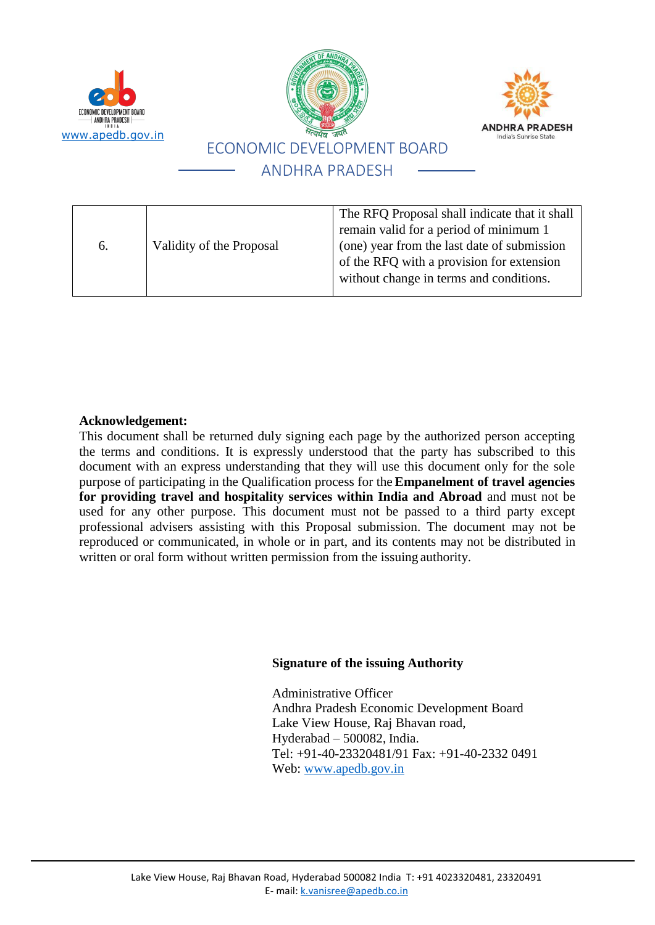





#### 6. Validity of the Proposal The RFQ Proposal shall indicate that it shall remain valid for a period of minimum 1 (one) year from the last date of submission of the RFQ with a provision for extension without change in terms and conditions.

#### **Acknowledgement:**

This document shall be returned duly signing each page by the authorized person accepting the terms and conditions. It is expressly understood that the party has subscribed to this document with an express understanding that they will use this document only for the sole purpose of participating in the Qualification process for the **Empanelment of travel agencies for providing travel and hospitality services within India and Abroad** and must not be used for any other purpose. This document must not be passed to a third party except professional advisers assisting with this Proposal submission. The document may not be reproduced or communicated, in whole or in part, and its contents may not be distributed in written or oral form without written permission from the issuing authority.

#### **Signature of the issuing Authority**

Administrative Officer Andhra Pradesh Economic Development Board Lake View House, Raj Bhavan road, Hyderabad – 500082, India. Tel: +91-40-23320481/91 Fax: +91-40-2332 0491 Web: [www.apedb.gov.in](http://www.apedb.gov.in/)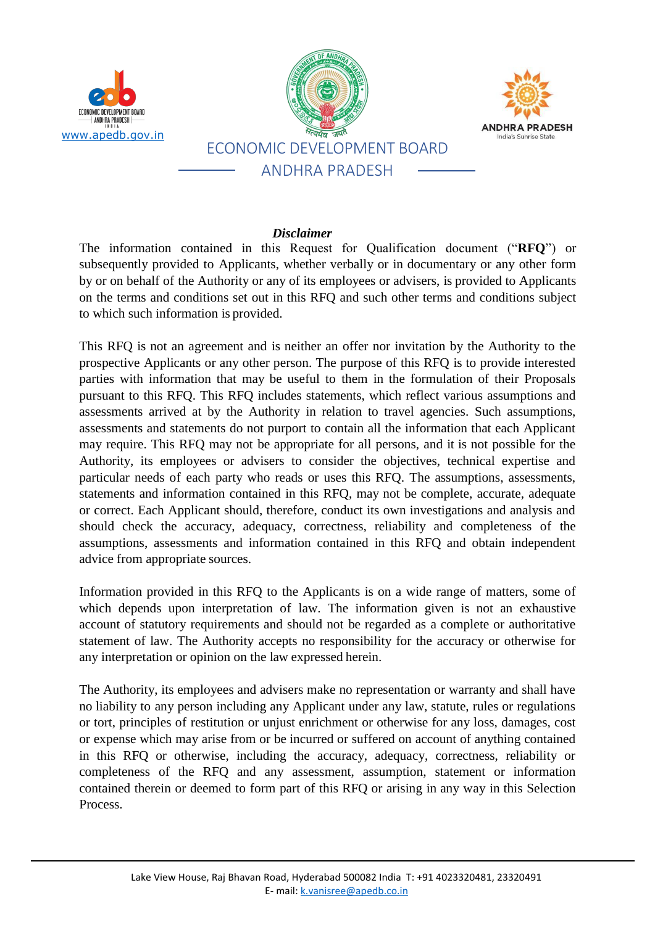

#### *Disclaimer*

The information contained in this Request for Qualification document ("**RFQ**") or subsequently provided to Applicants, whether verbally or in documentary or any other form by or on behalf of the Authority or any of its employees or advisers, is provided to Applicants on the terms and conditions set out in this RFQ and such other terms and conditions subject to which such information is provided.

This RFQ is not an agreement and is neither an offer nor invitation by the Authority to the prospective Applicants or any other person. The purpose of this RFQ is to provide interested parties with information that may be useful to them in the formulation of their Proposals pursuant to this RFQ. This RFQ includes statements, which reflect various assumptions and assessments arrived at by the Authority in relation to travel agencies. Such assumptions, assessments and statements do not purport to contain all the information that each Applicant may require. This RFQ may not be appropriate for all persons, and it is not possible for the Authority, its employees or advisers to consider the objectives, technical expertise and particular needs of each party who reads or uses this RFQ. The assumptions, assessments, statements and information contained in this RFQ, may not be complete, accurate, adequate or correct. Each Applicant should, therefore, conduct its own investigations and analysis and should check the accuracy, adequacy, correctness, reliability and completeness of the assumptions, assessments and information contained in this RFQ and obtain independent advice from appropriate sources.

Information provided in this RFQ to the Applicants is on a wide range of matters, some of which depends upon interpretation of law. The information given is not an exhaustive account of statutory requirements and should not be regarded as a complete or authoritative statement of law. The Authority accepts no responsibility for the accuracy or otherwise for any interpretation or opinion on the law expressed herein.

The Authority, its employees and advisers make no representation or warranty and shall have no liability to any person including any Applicant under any law, statute, rules or regulations or tort, principles of restitution or unjust enrichment or otherwise for any loss, damages, cost or expense which may arise from or be incurred or suffered on account of anything contained in this RFQ or otherwise, including the accuracy, adequacy, correctness, reliability or completeness of the RFQ and any assessment, assumption, statement or information contained therein or deemed to form part of this RFQ or arising in any way in this Selection Process.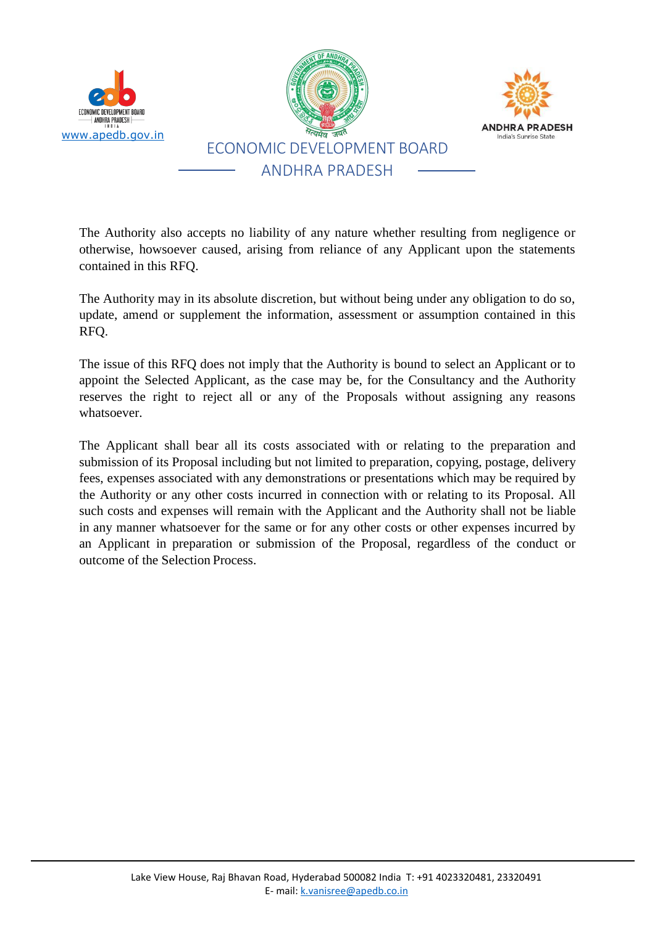

The Authority also accepts no liability of any nature whether resulting from negligence or otherwise, howsoever caused, arising from reliance of any Applicant upon the statements contained in this RFQ.

The Authority may in its absolute discretion, but without being under any obligation to do so, update, amend or supplement the information, assessment or assumption contained in this RFQ.

The issue of this RFQ does not imply that the Authority is bound to select an Applicant or to appoint the Selected Applicant, as the case may be, for the Consultancy and the Authority reserves the right to reject all or any of the Proposals without assigning any reasons whatsoever.

The Applicant shall bear all its costs associated with or relating to the preparation and submission of its Proposal including but not limited to preparation, copying, postage, delivery fees, expenses associated with any demonstrations or presentations which may be required by the Authority or any other costs incurred in connection with or relating to its Proposal. All such costs and expenses will remain with the Applicant and the Authority shall not be liable in any manner whatsoever for the same or for any other costs or other expenses incurred by an Applicant in preparation or submission of the Proposal, regardless of the conduct or outcome of the Selection Process.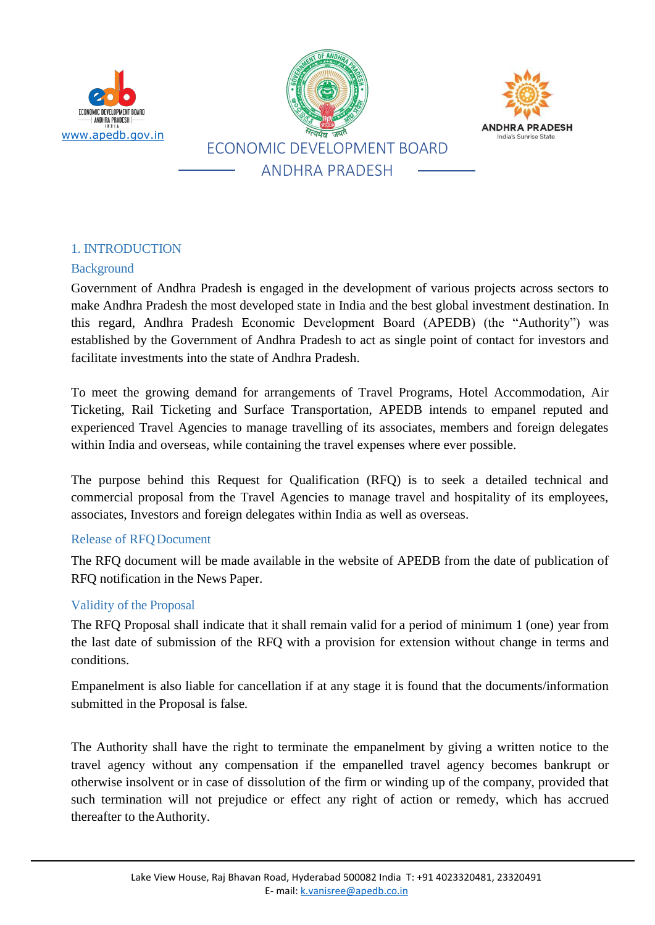





# 1. INTRODUCTION

#### Background

Government of Andhra Pradesh is engaged in the development of various projects across sectors to make Andhra Pradesh the most developed state in India and the best global investment destination. In this regard, Andhra Pradesh Economic Development Board (APEDB) (the "Authority") was established by the Government of Andhra Pradesh to act as single point of contact for investors and facilitate investments into the state of Andhra Pradesh.

To meet the growing demand for arrangements of Travel Programs, Hotel Accommodation, Air Ticketing, Rail Ticketing and Surface Transportation, APEDB intends to empanel reputed and experienced Travel Agencies to manage travelling of its associates, members and foreign delegates within India and overseas, while containing the travel expenses where ever possible.

The purpose behind this Request for Qualification (RFQ) is to seek a detailed technical and commercial proposal from the Travel Agencies to manage travel and hospitality of its employees, associates, Investors and foreign delegates within India as well as overseas.

#### Release of RFQDocument

The RFQ document will be made available in the website of APEDB from the date of publication of RFQ notification in the News Paper.

#### Validity of the Proposal

The RFQ Proposal shall indicate that it shall remain valid for a period of minimum 1 (one) year from the last date of submission of the RFQ with a provision for extension without change in terms and conditions.

Empanelment is also liable for cancellation if at any stage it is found that the documents/information submitted in the Proposal is false.

The Authority shall have the right to terminate the empanelment by giving a written notice to the travel agency without any compensation if the empanelled travel agency becomes bankrupt or otherwise insolvent or in case of dissolution of the firm or winding up of the company, provided that such termination will not prejudice or effect any right of action or remedy, which has accrued thereafter to theAuthority.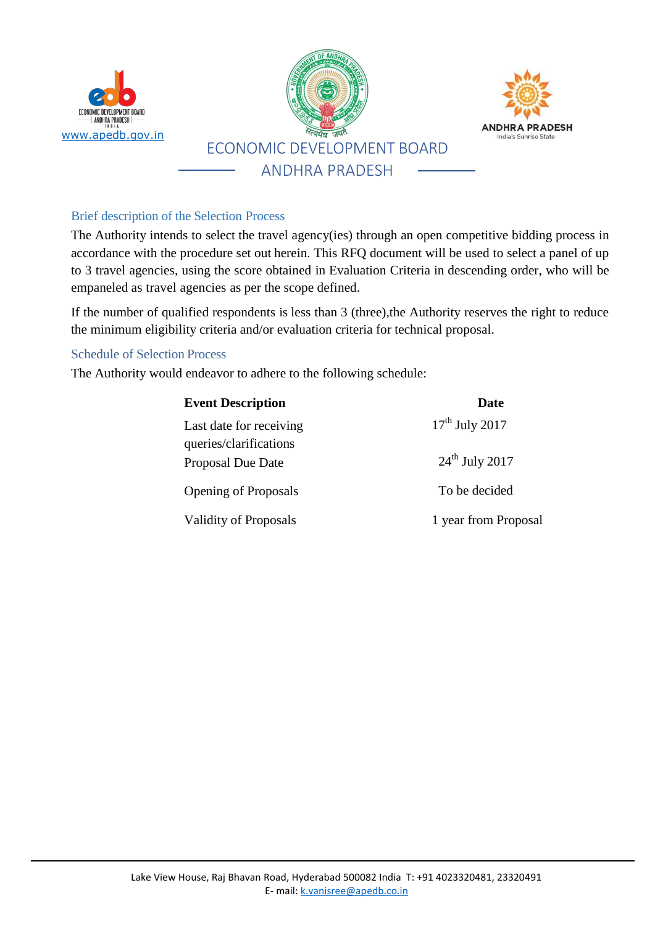

### Brief description of the Selection Process

The Authority intends to select the travel agency(ies) through an open competitive bidding process in accordance with the procedure set out herein. This RFQ document will be used to select a panel of up to 3 travel agencies, using the score obtained in Evaluation Criteria in descending order, who will be empaneled as travel agencies as per the scope defined.

If the number of qualified respondents is less than 3 (three),the Authority reserves the right to reduce the minimum eligibility criteria and/or evaluation criteria for technical proposal.

#### Schedule of Selection Process

The Authority would endeavor to adhere to the following schedule:

| <b>Event Description</b>                          | <b>Date</b>          |  |
|---------------------------------------------------|----------------------|--|
| Last date for receiving<br>queries/clarifications | $17th$ July 2017     |  |
| <b>Proposal Due Date</b>                          | $24th$ July 2017     |  |
| <b>Opening of Proposals</b>                       | To be decided        |  |
| Validity of Proposals                             | 1 year from Proposal |  |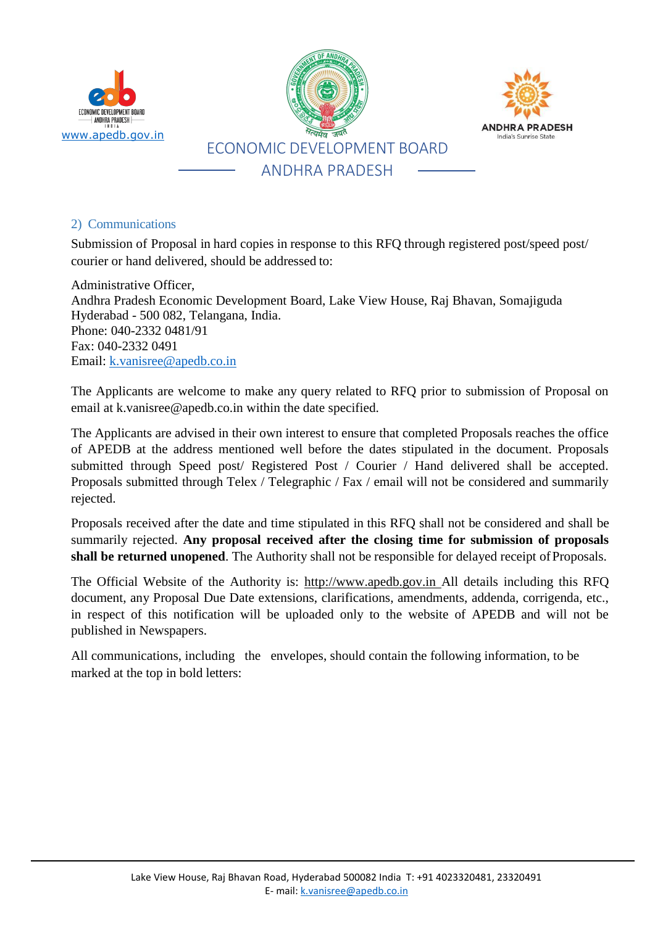

#### 2) Communications

Submission of Proposal in hard copies in response to this RFQ through registered post/speed post/ courier or hand delivered, should be addressed to:

Administrative Officer, Andhra Pradesh Economic Development Board, Lake View House, Raj Bhavan, Somajiguda Hyderabad - 500 082, Telangana, India. Phone: 040-2332 0481/91 Fax: 040-2332 0491 Email: [k.vanisree@apedb.co.in](mailto:k.vanisree@apedb.co.in)

The Applicants are welcome to make any query related to RFQ prior to submission of Proposal on email at [k.vanisree@apedb.co.in](mailto:k.vanisree@apedb.co.in) within the date specified.

The Applicants are advised in their own interest to ensure that completed Proposals reaches the office of APEDB at the address mentioned well before the dates stipulated in the document. Proposals submitted through Speed post/ Registered Post / Courier / Hand delivered shall be accepted. Proposals submitted through Telex / Telegraphic / Fax / email will not be considered and summarily rejected.

Proposals received after the date and time stipulated in this RFQ shall not be considered and shall be summarily rejected. **Any proposal received after the closing time for submission of proposals shall be returned unopened**. The Authority shall not be responsible for delayed receipt of Proposals.

The Official Website of the Authority is: [http://www.apedb.gov.in](http://www.apedb.gov.in/) All details including this RFQ document, any Proposal Due Date extensions, clarifications, amendments, addenda, corrigenda, etc., in respect of this notification will be uploaded only to the website of APEDB and will not be published in Newspapers.

All communications, including the envelopes, should contain the following information, to be marked at the top in bold letters: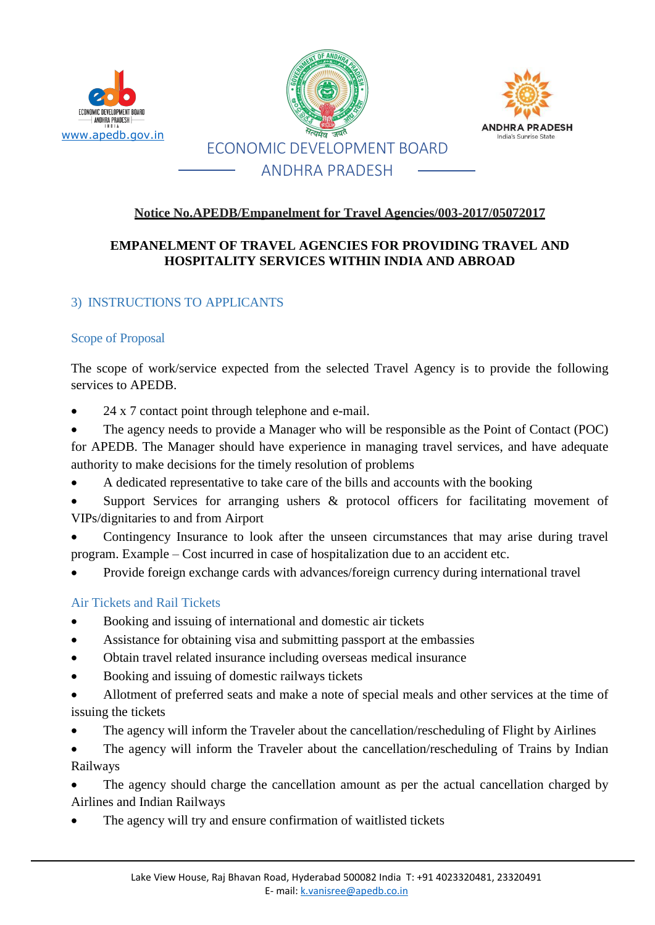





# **Notice No.APEDB/Empanelment for Travel Agencies/003-2017/05072017**

# **EMPANELMENT OF TRAVEL AGENCIES FOR PROVIDING TRAVEL AND HOSPITALITY SERVICES WITHIN INDIA AND ABROAD**

### 3) INSTRUCTIONS TO APPLICANTS

#### Scope of Proposal

The scope of work/service expected from the selected Travel Agency is to provide the following services to APEDB.

24 x 7 contact point through telephone and e-mail.

 The agency needs to provide a Manager who will be responsible as the Point of Contact (POC) for APEDB. The Manager should have experience in managing travel services, and have adequate authority to make decisions for the timely resolution of problems

- A dedicated representative to take care of the bills and accounts with the booking
- Support Services for arranging ushers & protocol officers for facilitating movement of VIPs/dignitaries to and from Airport

 Contingency Insurance to look after the unseen circumstances that may arise during travel program. Example – Cost incurred in case of hospitalization due to an accident etc.

Provide foreign exchange cards with advances/foreign currency during international travel

#### Air Tickets and Rail Tickets

- Booking and issuing of international and domestic air tickets
- Assistance for obtaining visa and submitting passport at the embassies
- Obtain travel related insurance including overseas medical insurance
- Booking and issuing of domestic railways tickets
- Allotment of preferred seats and make a note of special meals and other services at the time of issuing the tickets
- The agency will inform the Traveler about the cancellation/rescheduling of Flight by Airlines
- The agency will inform the Traveler about the cancellation/rescheduling of Trains by Indian Railways

 The agency should charge the cancellation amount as per the actual cancellation charged by Airlines and Indian Railways

The agency will try and ensure confirmation of waitlisted tickets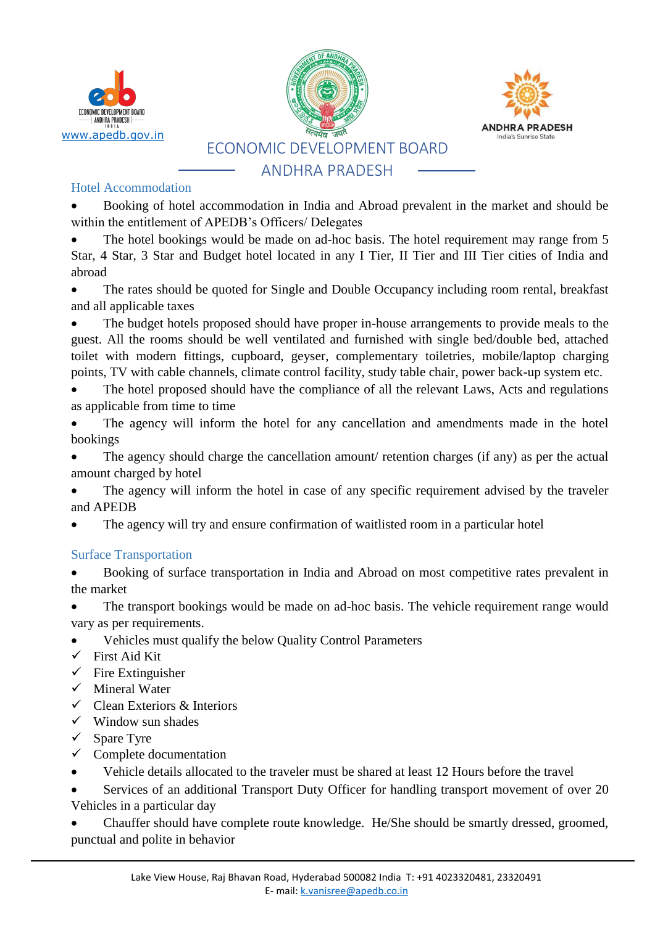





#### Hotel Accommodation

 Booking of hotel accommodation in India and Abroad prevalent in the market and should be within the entitlement of APEDB's Officers/ Delegates

 The hotel bookings would be made on ad-hoc basis. The hotel requirement may range from 5 Star, 4 Star, 3 Star and Budget hotel located in any I Tier, II Tier and III Tier cities of India and abroad

• The rates should be quoted for Single and Double Occupancy including room rental, breakfast and all applicable taxes

 The budget hotels proposed should have proper in-house arrangements to provide meals to the guest. All the rooms should be well ventilated and furnished with single bed/double bed, attached toilet with modern fittings, cupboard, geyser, complementary toiletries, mobile/laptop charging points, TV with cable channels, climate control facility, study table chair, power back-up system etc.

 The hotel proposed should have the compliance of all the relevant Laws, Acts and regulations as applicable from time to time

 The agency will inform the hotel for any cancellation and amendments made in the hotel bookings

 The agency should charge the cancellation amount/ retention charges (if any) as per the actual amount charged by hotel

 The agency will inform the hotel in case of any specific requirement advised by the traveler and APEDB

The agency will try and ensure confirmation of waitlisted room in a particular hotel

# Surface Transportation

 Booking of surface transportation in India and Abroad on most competitive rates prevalent in the market

 The transport bookings would be made on ad-hoc basis. The vehicle requirement range would vary as per requirements.

- Vehicles must qualify the below Quality Control Parameters
- $\checkmark$  First Aid Kit
- $\checkmark$  Fire Extinguisher
- $\checkmark$  Mineral Water
- $\checkmark$  Clean Exteriors & Interiors
- $\checkmark$  Window sun shades
- $\checkmark$  Spare Tyre
- $\checkmark$  Complete documentation
- Vehicle details allocated to the traveler must be shared at least 12 Hours before the travel

 Services of an additional Transport Duty Officer for handling transport movement of over 20 Vehicles in a particular day

 Chauffer should have complete route knowledge. He/She should be smartly dressed, groomed, punctual and polite in behavior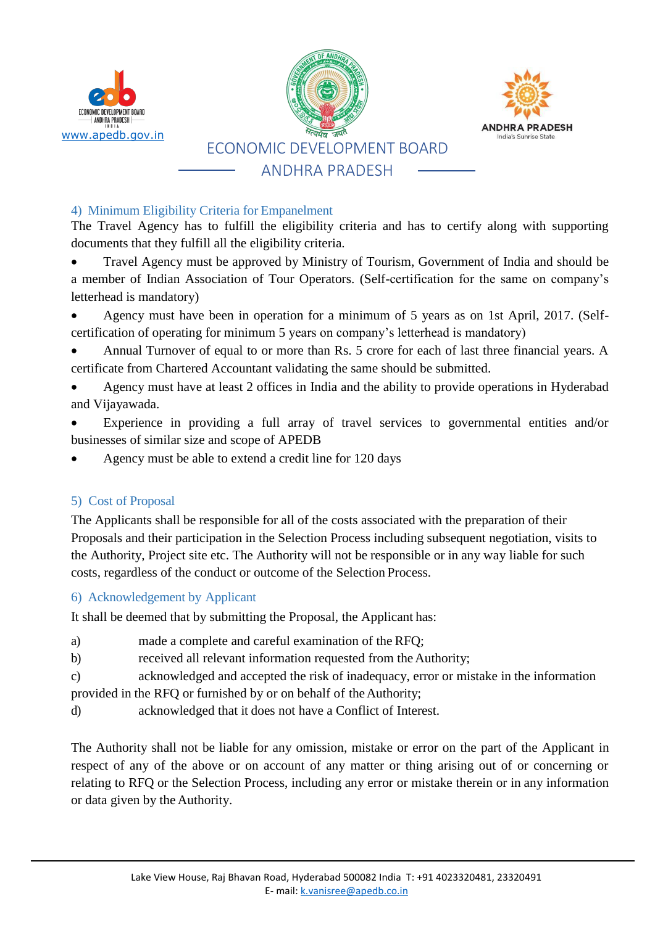

# 4) Minimum Eligibility Criteria for Empanelment

The Travel Agency has to fulfill the eligibility criteria and has to certify along with supporting documents that they fulfill all the eligibility criteria.

- Travel Agency must be approved by Ministry of Tourism, Government of India and should be a member of Indian Association of Tour Operators. (Self-certification for the same on company's letterhead is mandatory)
- Agency must have been in operation for a minimum of 5 years as on 1st April, 2017. (Selfcertification of operating for minimum 5 years on company's letterhead is mandatory)
- Annual Turnover of equal to or more than Rs. 5 crore for each of last three financial years. A certificate from Chartered Accountant validating the same should be submitted.
- Agency must have at least 2 offices in India and the ability to provide operations in Hyderabad and Vijayawada.
- Experience in providing a full array of travel services to governmental entities and/or businesses of similar size and scope of APEDB
- Agency must be able to extend a credit line for 120 days

# 5) Cost of Proposal

The Applicants shall be responsible for all of the costs associated with the preparation of their Proposals and their participation in the Selection Process including subsequent negotiation, visits to the Authority, Project site etc. The Authority will not be responsible or in any way liable for such costs, regardless of the conduct or outcome of the Selection Process.

# 6) Acknowledgement by Applicant

It shall be deemed that by submitting the Proposal, the Applicant has:

- a) made a complete and careful examination of the RFQ;
- b) received all relevant information requested from the Authority;
- c) acknowledged and accepted the risk of inadequacy, error or mistake in the information provided in the RFQ or furnished by or on behalf of theAuthority;
- d) acknowledged that it does not have a Conflict of Interest.

The Authority shall not be liable for any omission, mistake or error on the part of the Applicant in respect of any of the above or on account of any matter or thing arising out of or concerning or relating to RFQ or the Selection Process, including any error or mistake therein or in any information or data given by the Authority.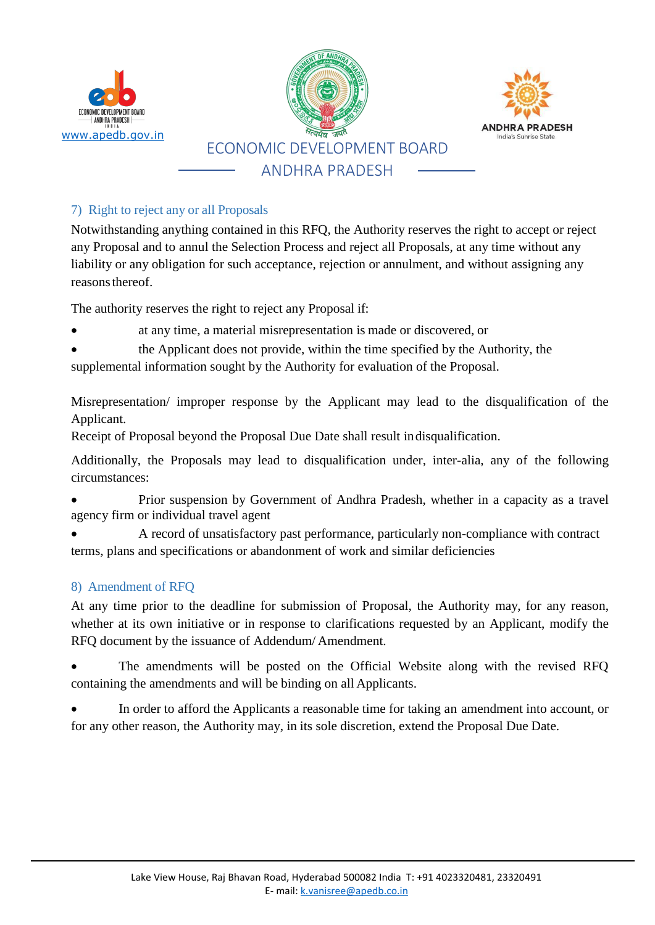

# 7) Right to reject any or all Proposals

Notwithstanding anything contained in this RFQ, the Authority reserves the right to accept or reject any Proposal and to annul the Selection Process and reject all Proposals, at any time without any liability or any obligation for such acceptance, rejection or annulment, and without assigning any reasons thereof.

The authority reserves the right to reject any Proposal if:

- at any time, a material misrepresentation is made or discovered, or
- the Applicant does not provide, within the time specified by the Authority, the

supplemental information sought by the Authority for evaluation of the Proposal.

Misrepresentation/ improper response by the Applicant may lead to the disqualification of the Applicant.

Receipt of Proposal beyond the Proposal Due Date shall result indisqualification.

Additionally, the Proposals may lead to disqualification under, inter-alia, any of the following circumstances:

 Prior suspension by Government of Andhra Pradesh, whether in a capacity as a travel agency firm or individual travel agent

 A record of unsatisfactory past performance, particularly non-compliance with contract terms, plans and specifications or abandonment of work and similar deficiencies

# 8) Amendment of RFQ

At any time prior to the deadline for submission of Proposal, the Authority may, for any reason, whether at its own initiative or in response to clarifications requested by an Applicant, modify the RFQ document by the issuance of Addendum/ Amendment.

 The amendments will be posted on the Official Website along with the revised RFQ containing the amendments and will be binding on all Applicants.

 In order to afford the Applicants a reasonable time for taking an amendment into account, or for any other reason, the Authority may, in its sole discretion, extend the Proposal Due Date.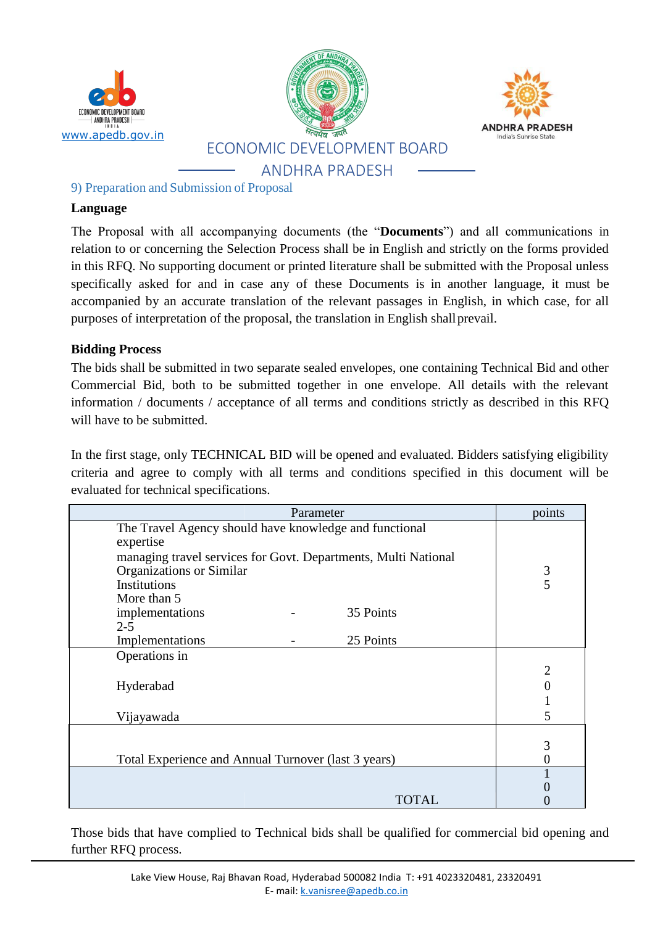

9) Preparation and Submission of Proposal

#### **Language**

The Proposal with all accompanying documents (the "**Documents**") and all communications in relation to or concerning the Selection Process shall be in English and strictly on the forms provided in this RFQ. No supporting document or printed literature shall be submitted with the Proposal unless specifically asked for and in case any of these Documents is in another language, it must be accompanied by an accurate translation of the relevant passages in English, in which case, for all purposes of interpretation of the proposal, the translation in English shallprevail.

### **Bidding Process**

The bids shall be submitted in two separate sealed envelopes, one containing Technical Bid and other Commercial Bid, both to be submitted together in one envelope. All details with the relevant information / documents / acceptance of all terms and conditions strictly as described in this RFQ will have to be submitted.

In the first stage, only TECHNICAL BID will be opened and evaluated. Bidders satisfying eligibility criteria and agree to comply with all terms and conditions specified in this document will be evaluated for technical specifications.

| Parameter                                                      | points         |
|----------------------------------------------------------------|----------------|
| The Travel Agency should have knowledge and functional         |                |
| expertise                                                      |                |
| managing travel services for Govt. Departments, Multi National |                |
| Organizations or Similar                                       | $\mathfrak{Z}$ |
| Institutions                                                   | 5              |
| More than 5                                                    |                |
| 35 Points<br>implementations                                   |                |
| $2 - 5$                                                        |                |
| 25 Points<br>Implementations                                   |                |
| Operations in                                                  |                |
|                                                                | $\overline{2}$ |
| Hyderabad                                                      |                |
|                                                                | 1              |
| Vijayawada                                                     | 5              |
|                                                                |                |
|                                                                | 3              |
| Total Experience and Annual Turnover (last 3 years)            |                |
|                                                                |                |
|                                                                |                |
| TOTAL                                                          |                |

Those bids that have complied to Technical bids shall be qualified for commercial bid opening and further RFQ process.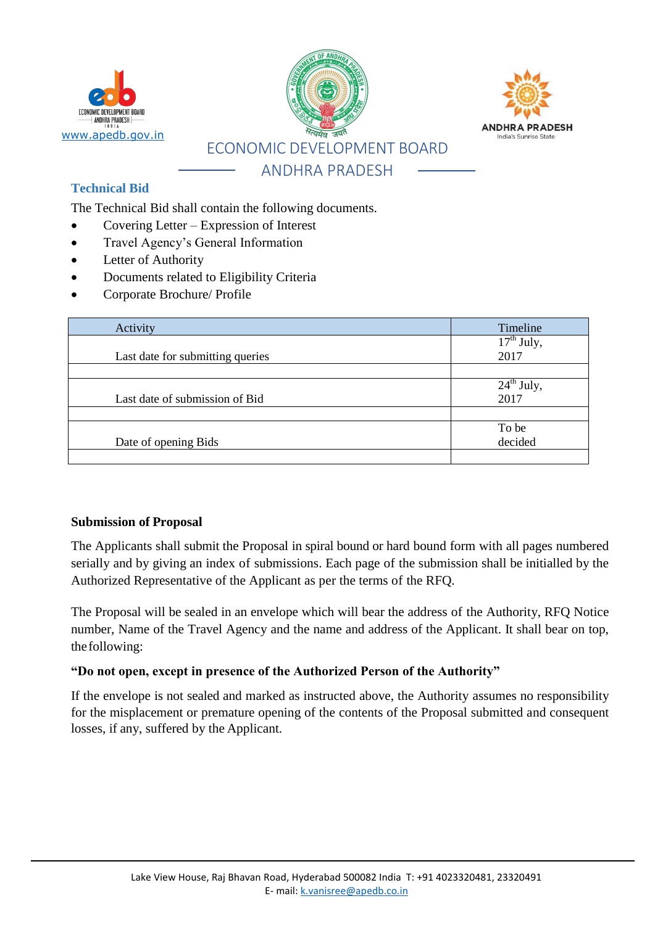

# **Technical Bid**

The Technical Bid shall contain the following documents.

- Covering Letter Expression of Interest
- Travel Agency's General Information
- Letter of Authority
- Documents related to Eligibility Criteria
- Corporate Brochure/ Profile

| Activity                         | Timeline               |
|----------------------------------|------------------------|
| Last date for submitting queries | $17th$ July,<br>2017   |
|                                  |                        |
|                                  | $24^{\text{th}}$ July, |
| Last date of submission of Bid   | 2017                   |
|                                  |                        |
|                                  | To be                  |
| Date of opening Bids             | decided                |
|                                  |                        |

#### **Submission of Proposal**

The Applicants shall submit the Proposal in spiral bound or hard bound form with all pages numbered serially and by giving an index of submissions. Each page of the submission shall be initialled by the Authorized Representative of the Applicant as per the terms of the RFQ.

The Proposal will be sealed in an envelope which will bear the address of the Authority, RFQ Notice number, Name of the Travel Agency and the name and address of the Applicant. It shall bear on top, thefollowing:

#### **"Do not open, except in presence of the Authorized Person of the Authority"**

If the envelope is not sealed and marked as instructed above, the Authority assumes no responsibility for the misplacement or premature opening of the contents of the Proposal submitted and consequent losses, if any, suffered by the Applicant.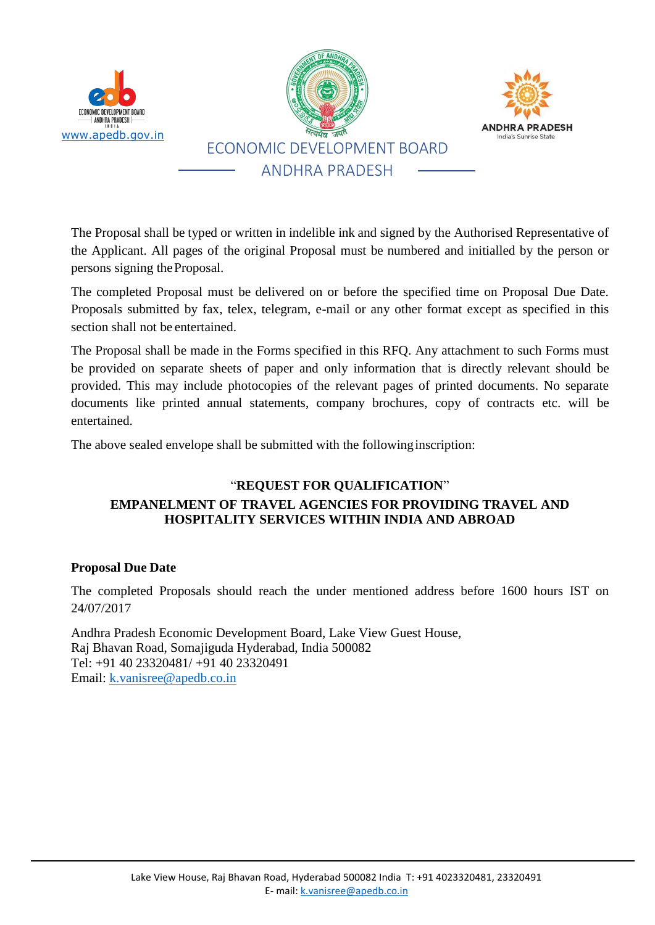

The Proposal shall be typed or written in indelible ink and signed by the Authorised Representative of the Applicant. All pages of the original Proposal must be numbered and initialled by the person or persons signing theProposal.

The completed Proposal must be delivered on or before the specified time on Proposal Due Date. Proposals submitted by fax, telex, telegram, e-mail or any other format except as specified in this section shall not be entertained.

The Proposal shall be made in the Forms specified in this RFQ. Any attachment to such Forms must be provided on separate sheets of paper and only information that is directly relevant should be provided. This may include photocopies of the relevant pages of printed documents. No separate documents like printed annual statements, company brochures, copy of contracts etc. will be entertained.

The above sealed envelope shall be submitted with the followinginscription:

# "**REQUEST FOR QUALIFICATION**" **EMPANELMENT OF TRAVEL AGENCIES FOR PROVIDING TRAVEL AND HOSPITALITY SERVICES WITHIN INDIA AND ABROAD**

#### **Proposal Due Date**

The completed Proposals should reach the under mentioned address before 1600 hours IST on 24/07/2017

Andhra Pradesh Economic Development Board, Lake View Guest House, Raj Bhavan Road, Somajiguda Hyderabad, India 500082 Tel: +91 40 23320481/ +91 40 23320491 Email: [k.vanisree@apedb.co.in](mailto:k.vanisree@apedb.co.in)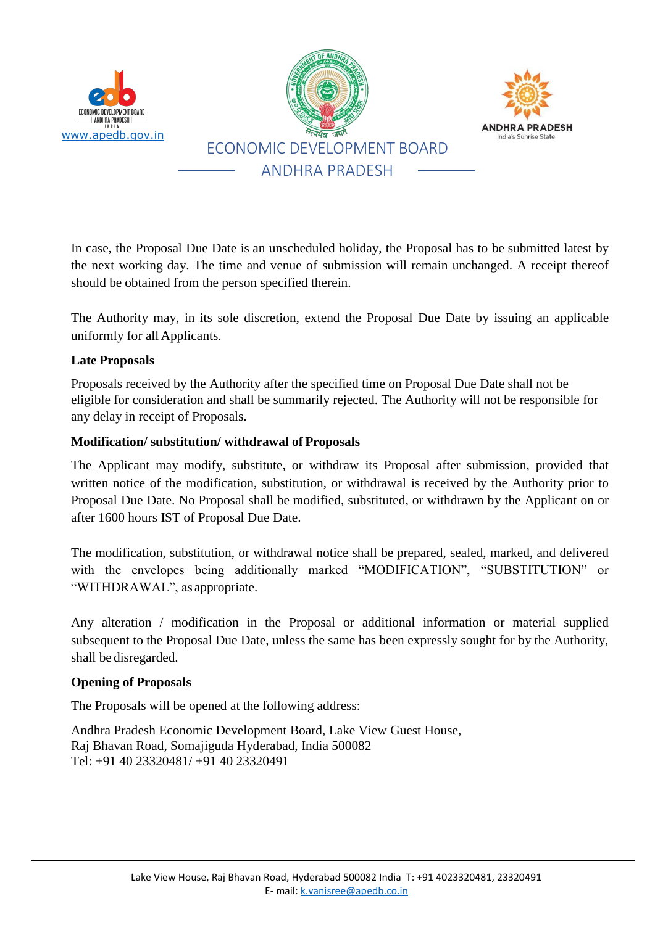

In case, the Proposal Due Date is an unscheduled holiday, the Proposal has to be submitted latest by the next working day. The time and venue of submission will remain unchanged. A receipt thereof should be obtained from the person specified therein.

The Authority may, in its sole discretion, extend the Proposal Due Date by issuing an applicable uniformly for all Applicants.

### **Late Proposals**

Proposals received by the Authority after the specified time on Proposal Due Date shall not be eligible for consideration and shall be summarily rejected. The Authority will not be responsible for any delay in receipt of Proposals.

### **Modification/ substitution/ withdrawal of Proposals**

The Applicant may modify, substitute, or withdraw its Proposal after submission, provided that written notice of the modification, substitution, or withdrawal is received by the Authority prior to Proposal Due Date. No Proposal shall be modified, substituted, or withdrawn by the Applicant on or after 1600 hours IST of Proposal Due Date.

The modification, substitution, or withdrawal notice shall be prepared, sealed, marked, and delivered with the envelopes being additionally marked "MODIFICATION", "SUBSTITUTION" or "WITHDRAWAL", as appropriate.

Any alteration / modification in the Proposal or additional information or material supplied subsequent to the Proposal Due Date, unless the same has been expressly sought for by the Authority, shall be disregarded.

#### **Opening of Proposals**

The Proposals will be opened at the following address:

Andhra Pradesh Economic Development Board, Lake View Guest House, Raj Bhavan Road, Somajiguda Hyderabad, India 500082 Tel: +91 40 23320481/ +91 40 23320491